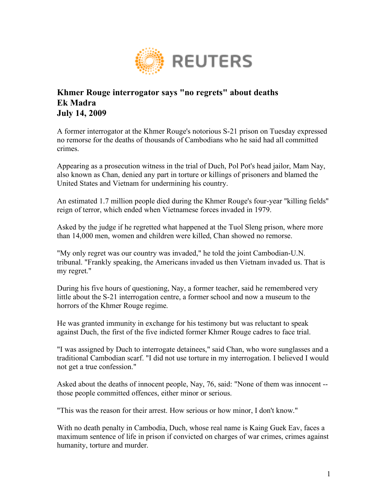

## **Khmer Rouge interrogator says "no regrets" about deaths Ek Madra July 14, 2009**

A former interrogator at the Khmer Rouge's notorious S-21 prison on Tuesday expressed no remorse for the deaths of thousands of Cambodians who he said had all committed crimes.

Appearing as a prosecution witness in the trial of Duch, Pol Pot's head jailor, Mam Nay, also known as Chan, denied any part in torture or killings of prisoners and blamed the United States and Vietnam for undermining his country.

An estimated 1.7 million people died during the Khmer Rouge's four-year "killing fields" reign of terror, which ended when Vietnamese forces invaded in 1979.

Asked by the judge if he regretted what happened at the Tuol Sleng prison, where more than 14,000 men, women and children were killed, Chan showed no remorse.

"My only regret was our country was invaded," he told the joint Cambodian-U.N. tribunal. "Frankly speaking, the Americans invaded us then Vietnam invaded us. That is my regret."

During his five hours of questioning, Nay, a former teacher, said he remembered very little about the S-21 interrogation centre, a former school and now a museum to the horrors of the Khmer Rouge regime.

He was granted immunity in exchange for his testimony but was reluctant to speak against Duch, the first of the five indicted former Khmer Rouge cadres to face trial.

"I was assigned by Duch to interrogate detainees," said Chan, who wore sunglasses and a traditional Cambodian scarf. "I did not use torture in my interrogation. I believed I would not get a true confession."

Asked about the deaths of innocent people, Nay, 76, said: "None of them was innocent - those people committed offences, either minor or serious.

"This was the reason for their arrest. How serious or how minor, I don't know."

With no death penalty in Cambodia, Duch, whose real name is Kaing Guek Eav, faces a maximum sentence of life in prison if convicted on charges of war crimes, crimes against humanity, torture and murder.